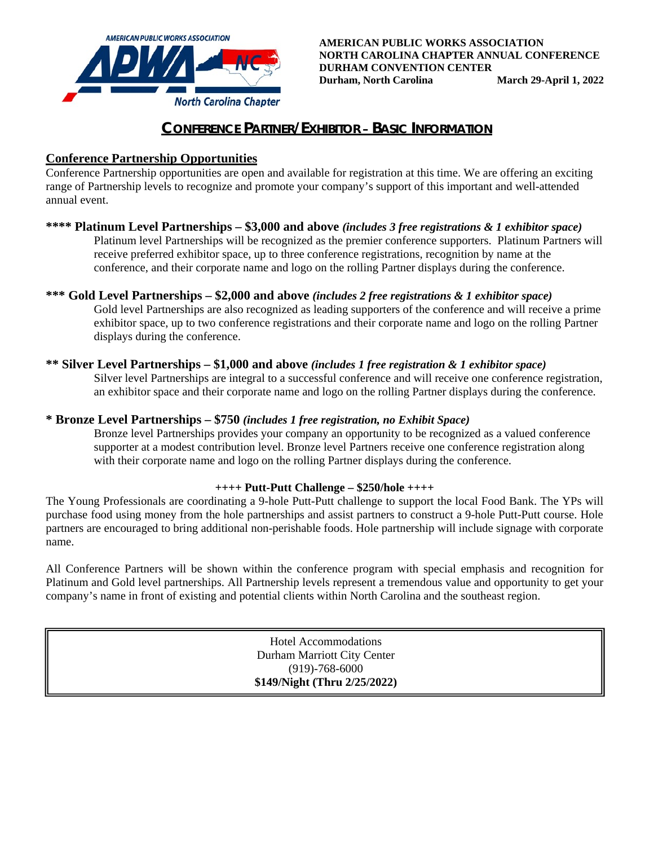

# **CONFERENCE PARTNER/EXHIBITOR – BASIC INFORMATION**

### **Conference Partnership Opportunities**

Conference Partnership opportunities are open and available for registration at this time. We are offering an exciting range of Partnership levels to recognize and promote your company's support of this important and well-attended annual event.

#### **\*\*\*\* Platinum Level Partnerships – \$3,000 and above** *(includes 3 free registrations & 1 exhibitor space)*

Platinum level Partnerships will be recognized as the premier conference supporters. Platinum Partners will receive preferred exhibitor space, up to three conference registrations, recognition by name at the conference, and their corporate name and logo on the rolling Partner displays during the conference.

### **\*\*\* Gold Level Partnerships – \$2,000 and above** *(includes 2 free registrations & 1 exhibitor space)*

Gold level Partnerships are also recognized as leading supporters of the conference and will receive a prime exhibitor space, up to two conference registrations and their corporate name and logo on the rolling Partner displays during the conference.

#### **\*\* Silver Level Partnerships – \$1,000 and above** *(includes 1 free registration & 1 exhibitor space)*

Silver level Partnerships are integral to a successful conference and will receive one conference registration, an exhibitor space and their corporate name and logo on the rolling Partner displays during the conference.

#### **\* Bronze Level Partnerships – \$750** *(includes 1 free registration, no Exhibit Space)*

Bronze level Partnerships provides your company an opportunity to be recognized as a valued conference supporter at a modest contribution level. Bronze level Partners receive one conference registration along with their corporate name and logo on the rolling Partner displays during the conference.

#### **++++ Putt-Putt Challenge – \$250/hole ++++**

The Young Professionals are coordinating a 9-hole Putt-Putt challenge to support the local Food Bank. The YPs will purchase food using money from the hole partnerships and assist partners to construct a 9-hole Putt-Putt course. Hole partners are encouraged to bring additional non-perishable foods. Hole partnership will include signage with corporate name.

All Conference Partners will be shown within the conference program with special emphasis and recognition for Platinum and Gold level partnerships. All Partnership levels represent a tremendous value and opportunity to get your company's name in front of existing and potential clients within North Carolina and the southeast region.

> Hotel Accommodations Durham Marriott City Center (919)-768-6000 **\$149/Night (Thru 2/25/2022)**